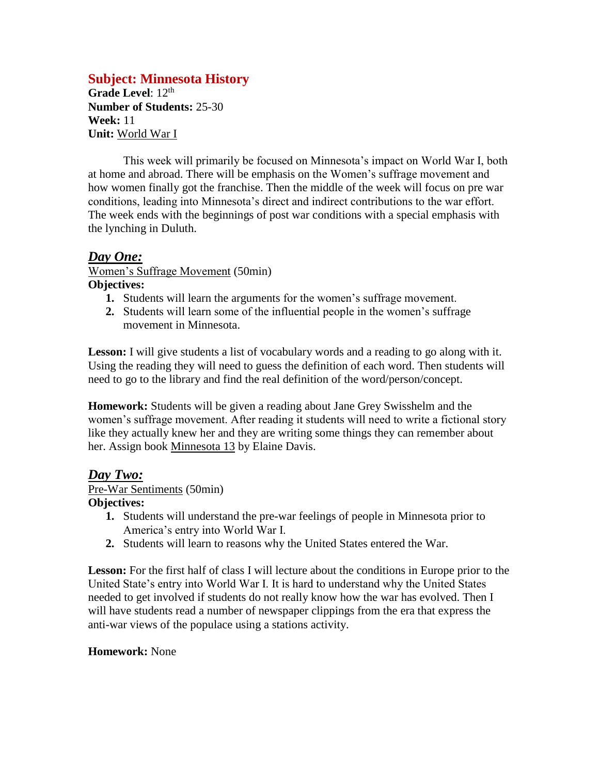# **Subject: Minnesota History**

Grade Level: 12<sup>th</sup> **Number of Students:** 25-30 **Week:** 11 **Unit:** World War I

This week will primarily be focused on Minnesota's impact on World War I, both at home and abroad. There will be emphasis on the Women's suffrage movement and how women finally got the franchise. Then the middle of the week will focus on pre war conditions, leading into Minnesota's direct and indirect contributions to the war effort. The week ends with the beginnings of post war conditions with a special emphasis with the lynching in Duluth.

### *Day One:*

Women's Suffrage Movement (50min) **Objectives:**

- **1.** Students will learn the arguments for the women's suffrage movement.
- **2.** Students will learn some of the influential people in the women's suffrage movement in Minnesota.

Lesson: I will give students a list of vocabulary words and a reading to go along with it. Using the reading they will need to guess the definition of each word. Then students will need to go to the library and find the real definition of the word/person/concept.

**Homework:** Students will be given a reading about Jane Grey Swisshelm and the women's suffrage movement. After reading it students will need to write a fictional story like they actually knew her and they are writing some things they can remember about her. Assign book Minnesota 13 by Elaine Davis.

### *Day Two:*

#### Pre-War Sentiments (50min)

#### **Objectives:**

- **1.** Students will understand the pre-war feelings of people in Minnesota prior to America's entry into World War I.
- **2.** Students will learn to reasons why the United States entered the War.

Lesson: For the first half of class I will lecture about the conditions in Europe prior to the United State's entry into World War I. It is hard to understand why the United States needed to get involved if students do not really know how the war has evolved. Then I will have students read a number of newspaper clippings from the era that express the anti-war views of the populace using a stations activity.

#### **Homework:** None